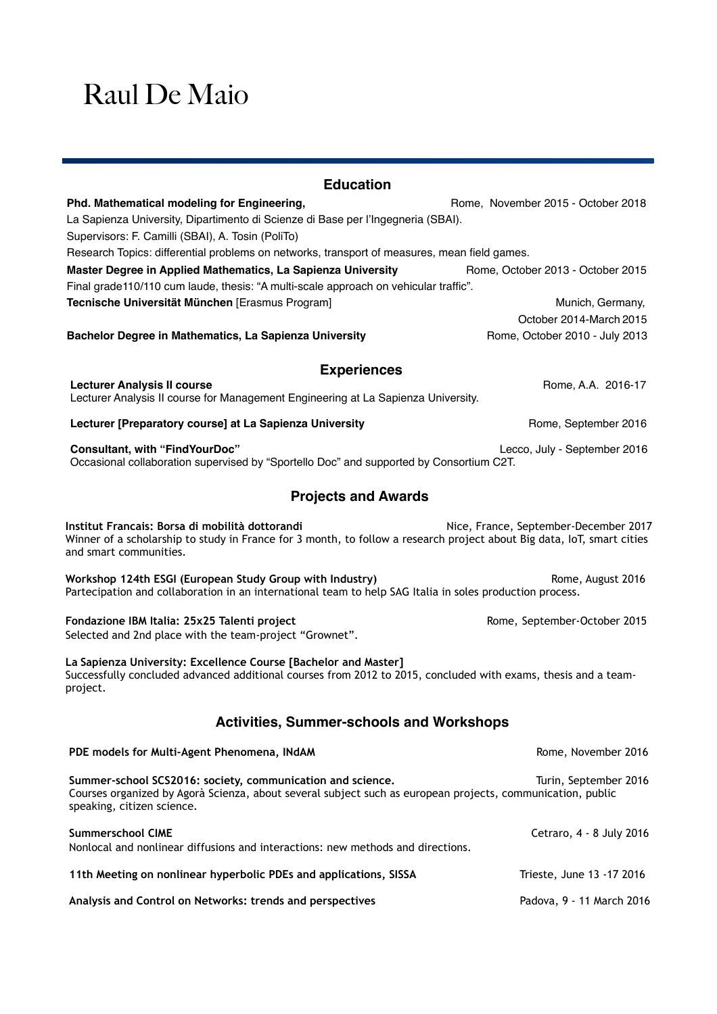## Raul De Maio

| <b>Education</b>                                                                                                                                                                                       |                                             |
|--------------------------------------------------------------------------------------------------------------------------------------------------------------------------------------------------------|---------------------------------------------|
| Phd. Mathematical modeling for Engineering,<br>La Sapienza University, Dipartimento di Scienze di Base per l'Ingegneria (SBAI).<br>Supervisors: F. Camilli (SBAI), A. Tosin (PoliTo)                   | Rome, November 2015 - October 2018          |
| Research Topics: differential problems on networks, transport of measures, mean field games.                                                                                                           |                                             |
| Master Degree in Applied Mathematics, La Sapienza University<br>Final grade110/110 cum laude, thesis: "A multi-scale approach on vehicular traffic".                                                   | Rome, October 2013 - October 2015           |
| Tecnische Universität München [Erasmus Program]                                                                                                                                                        | Munich, Germany,<br>October 2014-March 2015 |
| Bachelor Degree in Mathematics, La Sapienza University                                                                                                                                                 | Rome, October 2010 - July 2013              |
| <b>Experiences</b>                                                                                                                                                                                     |                                             |
| <b>Lecturer Analysis II course</b><br>Lecturer Analysis II course for Management Engineering at La Sapienza University.                                                                                | Rome, A.A. 2016-17                          |
| Lecturer [Preparatory course] at La Sapienza University                                                                                                                                                | Rome, September 2016                        |
| <b>Consultant, with "FindYourDoc"</b><br>Occasional collaboration supervised by "Sportello Doc" and supported by Consortium C2T.                                                                       | Lecco, July - September 2016                |
| <b>Projects and Awards</b>                                                                                                                                                                             |                                             |
| Institut Francais: Borsa di mobilità dottorandi<br>Winner of a scholarship to study in France for 3 month, to follow a research project about Big data, IoT, smart cities<br>and smart communities.    | Nice, France, September-December 2017       |
| Workshop 124th ESGI (European Study Group with Industry)<br>Partecipation and collaboration in an international team to help SAG Italia in soles production process.                                   | Rome, August 2016                           |
| Fondazione IBM Italia: 25x25 Talenti project<br>Selected and 2nd place with the team-project "Grownet".                                                                                                | Rome, September-October 2015                |
| La Sapienza University: Excellence Course [Bachelor and Master]<br>Successfully concluded advanced additional courses from 2012 to 2015, concluded with exams, thesis and a team-<br>project.          |                                             |
| <b>Activities, Summer-schools and Workshops</b>                                                                                                                                                        |                                             |
| PDE models for Multi-Agent Phenomena, INdAM                                                                                                                                                            | Rome, November 2016                         |
| Summer-school SCS2016: society, communication and science.<br>Courses organized by Agorà Scienza, about several subject such as european projects, communication, public<br>speaking, citizen science. | Turin, September 2016                       |
| <b>Summerschool CIME</b><br>Nonlocal and nonlinear diffusions and interactions: new methods and directions.                                                                                            | Cetraro, 4 - 8 July 2016                    |
| 11th Meeting on nonlinear hyperbolic PDEs and applications, SISSA                                                                                                                                      | Trieste, June 13 -17 2016                   |
| Analysis and Control on Networks: trends and perspectives                                                                                                                                              | Padova, 9 - 11 March 2016                   |